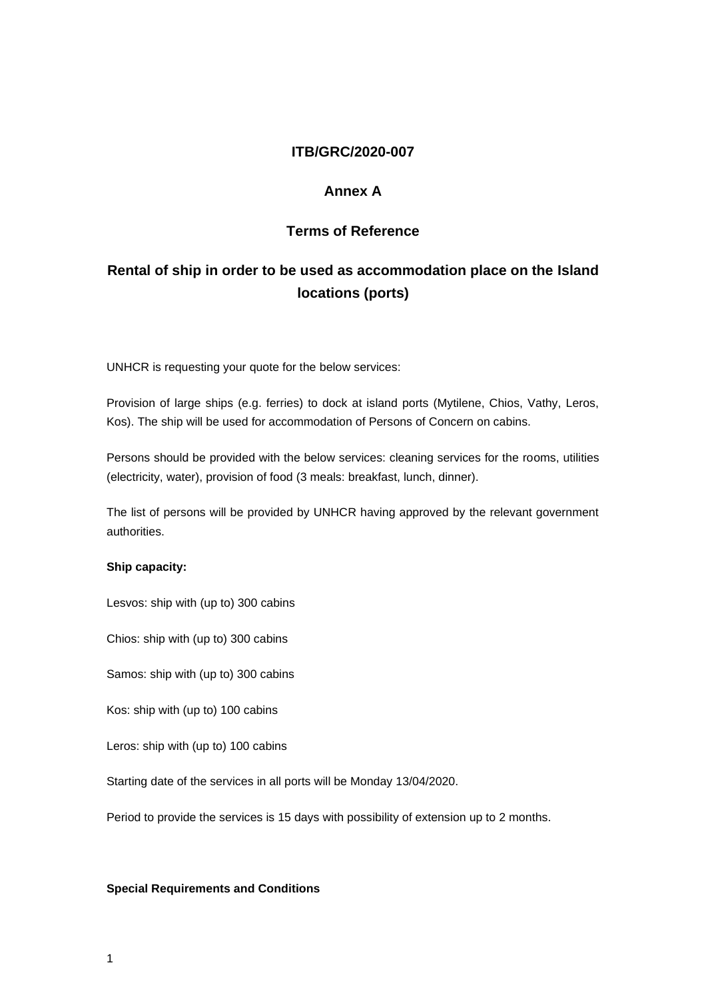## **ITB/GRC/2020-007**

## **Annex A**

# **Terms of Reference**

# **Rental of ship in order to be used as accommodation place on the Island locations (ports)**

UNHCR is requesting your quote for the below services:

Provision of large ships (e.g. ferries) to dock at island ports (Mytilene, Chios, Vathy, Leros, Kos). The ship will be used for accommodation of Persons of Concern on cabins.

Persons should be provided with the below services: cleaning services for the rooms, utilities (electricity, water), provision of food (3 meals: breakfast, lunch, dinner).

The list of persons will be provided by UNHCR having approved by the relevant government authorities.

### **Ship capacity:**

Lesvos: ship with (up to) 300 cabins

Chios: ship with (up to) 300 cabins

Samos: ship with (up to) 300 cabins

Kos: ship with (up to) 100 cabins

Leros: ship with (up to) 100 cabins

Starting date of the services in all ports will be Monday 13/04/2020.

Period to provide the services is 15 days with possibility of extension up to 2 months.

### **Special Requirements and Conditions**